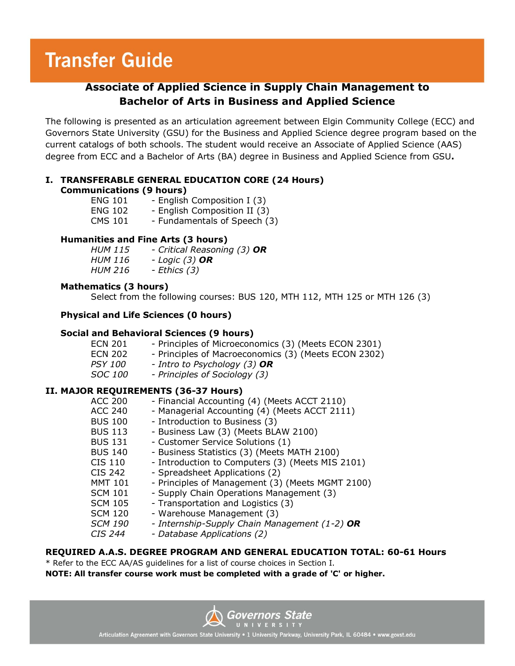# **Transfer Guide**

## **Associate of Applied Science in Supply Chain Management to Bachelor of Arts in Business and Applied Science**

The following is presented as an articulation agreement between Elgin Community College (ECC) and Governors State University (GSU) for the Business and Applied Science degree program based on the current catalogs of both schools. The student would receive an Associate of Applied Science (AAS) degree from ECC and a Bachelor of Arts (BA) degree in Business and Applied Science from GSU**.**

#### **I. TRANSFERABLE GENERAL EDUCATION CORE (24 Hours) Communications (9 hours)**

| ucac.o, , , , ou, , |                              |
|---------------------|------------------------------|
| <b>ENG 101</b>      | - English Composition I (3)  |
| <b>ENG 102</b>      | - English Composition II (3) |
| <b>CMS 101</b>      | - Fundamentals of Speech (3) |

#### **Humanities and Fine Arts (3 hours)**

| <i>HUM 115</i> | - Critical Reasoning (3) OR |
|----------------|-----------------------------|
| HUM 116        | - Logic $(3)$ OR            |
| <b>HUM 216</b> | - Ethics (3)                |

#### **Mathematics (3 hours)**

Select from the following courses: BUS 120, MTH 112, MTH 125 or MTH 126 (3)

#### **Physical and Life Sciences (0 hours)**

#### **Social and Behavioral Sciences (9 hours)**

| ECN 201        | - Principles of Microeconomics (3) (Meets ECON 2301) |
|----------------|------------------------------------------------------|
| ECN 202        | - Principles of Macroeconomics (3) (Meets ECON 2302) |
| <i>PSY 100</i> | - Intro to Psychology (3) <b>OR</b>                  |

*SOC 100 - Principles of Sociology (3)*

#### **II. MAJOR REQUIREMENTS (36-37 Hours)**

| <b>ACC 200</b> | - Financial Accounting (4) (Meets ACCT 2110)     |
|----------------|--------------------------------------------------|
| <b>ACC 240</b> | - Managerial Accounting (4) (Meets ACCT 2111)    |
| <b>BUS 100</b> | - Introduction to Business (3)                   |
| <b>BUS 113</b> | - Business Law (3) (Meets BLAW 2100)             |
| <b>BUS 131</b> | - Customer Service Solutions (1)                 |
| <b>BUS 140</b> | - Business Statistics (3) (Meets MATH 2100)      |
| CIS 110        | - Introduction to Computers (3) (Meets MIS 2101) |
| CIS 242        | - Spreadsheet Applications (2)                   |
| <b>MMT 101</b> | - Principles of Management (3) (Meets MGMT 2100) |
| <b>SCM 101</b> | - Supply Chain Operations Management (3)         |
| <b>SCM 105</b> | - Transportation and Logistics (3)               |
| <b>SCM 120</b> | - Warehouse Management (3)                       |
| <b>SCM 190</b> | - Internship-Supply Chain Management (1-2) OR    |
| <i>CIS 244</i> | - Database Applications (2)                      |
|                |                                                  |

#### **REQUIRED A.A.S. DEGREE PROGRAM AND GENERAL EDUCATION TOTAL: 60-61 Hours**

\* Refer to the ECC AA/AS guidelines for a list of course choices in Section I. **NOTE: All transfer course work must be completed with a grade of 'C' or higher.**